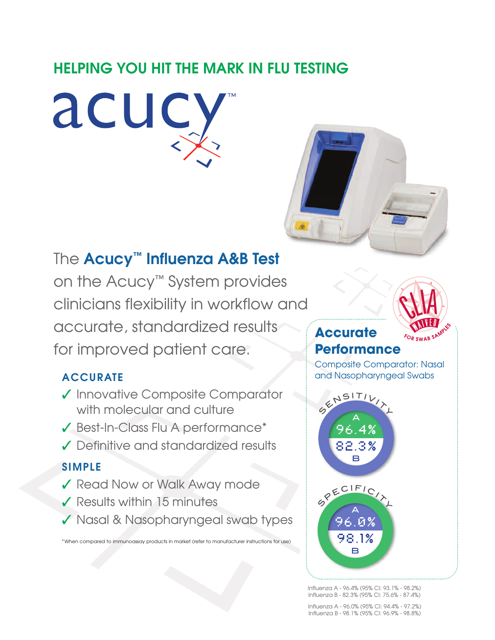# **HELPING YOU HIT THE MARK IN FLU TESTING**



# The **Acucy™ Influenza A&B Test**

on the Acucy™ System provides clinicians flexibility in workflow and accurate, standardized results for improved patient care.

# **ACCURATE**

- **✓** Innovative Composite Comparator with molecular and culture
- **✓** Best-In-Class Flu A performance\*
- **✓** Definitive and standardized results

# **SIMPLE**

- **✓** Read Now or Walk Away mode
- **✓** Results within 15 minutes
- **✓** Nasal & Nasopharyngeal swab types

\*When compared to immunoassay products in market (refer to manufacturer instructions for use)



# **Accurate Performance**

Composite Comparator: Nasal and Nasopharyngeal Swabs



Influenza A - 96.4% (95% CI: 93.1% - 98.2%) Influenza B - 82.3% (95% CI: 75.6% - 87.4%)

Influenza A - 96.0% (95% CI: 94.4% - 97.2%) Influenza B - 98.1% (95% CI: 96.9% - 98.8%)